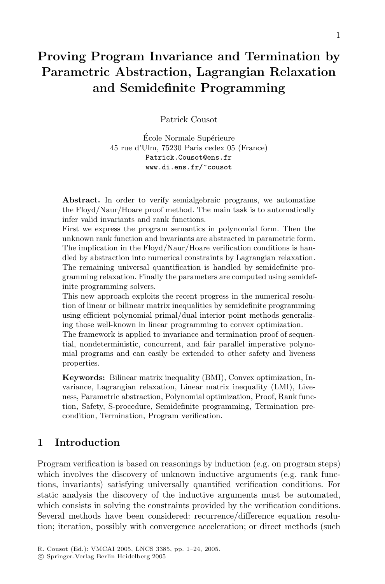# **Proving Program Invariance and Termination by Parametric Abstraction, Lagrangian Relaxation and Semidefinite Programming**

Patrick Cousot

École Normale Supérieure 45 rue d'Ulm, 75230 Paris cedex 05 (France) Patrick.Cousot@ens.fr www.di.ens.fr/~cousot

Abstract. In order to verify semialgebraic programs, we automatize the Floyd/Naur/Hoare proof method. The main task is to automatically infer valid invariants and rank functions.

First we express the program semantics in polynomial form. Then the unknown rank function and invariants are abstracted in parametric form. The implication in the Floyd/Naur/Hoare verification conditions is handled by abstraction into numerical constraints by Lagrangian relaxation. The remaining universal quantification is handled by semidefinite programming relaxation. Finally the parameters are computed using semidefinite programming solvers.

This new approach exploits the recent progress in the numerical resolution of linear or bilinear matrix inequalities by semidefinite programming using efficient polynomial primal/dual interior point methods generalizing those well-known in linear programming to convex optimization.

The framework is applied to invariance and termination proof of sequential, nondeterministic, concurrent, and fair parallel imperative polynomial programs and can easily be extended to other safety and liveness properties.

**Keywords:** Bilinear matrix inequality (BMI), Convex optimization, Invariance, Lagrangian relaxation, Linear matrix inequality (LMI), Liveness, Parametric abstraction, Polynomial optimization, Proof, Rank function, Safety, S-procedure, Semidefinite programming, Termination precondition, Termination, Program verification.

### **1 Introduction**

Program verification is based on reasonings by induction (e.g. on program steps) which involves the discovery of unknown inductive arguments (e.g. rank functions, invariants) satisfying universally quantified verification conditions. For static analysis the discovery of the inductive arguments must be automated, which consists in solving the constraints provided by the verification conditions. Several methods have been considered: recurrence/difference equation resolution; iteration, possibly with convergence acceleration; or direct methods (such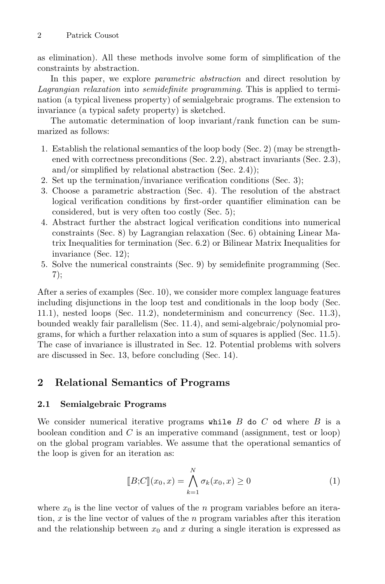as elimination). All these methods involve some form of simplification of the constraints by abstraction.

In this paper, we explore *parametric abstraction* and direct resolution by *Lagrangian relaxation* into *semidefinite programming*. This is applied to termination (a typical liveness property) of semialgebraic programs. The extension to invariance (a typical safety property) is sketched.

The automatic determination of loop invariant/rank function can be summarized as follows:

- 1. Establish the relational semantics of the loop body (Sec. 2) (may be strengthened with correctness preconditions (Sec. 2.2), abstract invariants (Sec. 2.3), and/or simplified by relational abstraction (Sec. 2.4));
- 2. Set up the termination/invariance verification conditions (Sec. 3);
- 3. Choose a parametric abstraction (Sec. 4). The resolution of the abstract logical verification conditions by first-order quantifier elimination can be considered, but is very often too costly (Sec. 5);
- 4. Abstract further the abstract logical verification conditions into numerical constraints (Sec. 8) by Lagrangian relaxation (Sec. 6) obtaining Linear Matrix Inequalities for termination (Sec. 6.2) or Bilinear Matrix Inequalities for invariance (Sec. 12);
- 5. Solve the numerical constraints (Sec. 9) by semidefinite programming (Sec. 7);

After a series of examples (Sec. 10), we consider more complex language features including disjunctions in the loop test and conditionals in the loop body (Sec. 11.1), nested loops (Sec. 11.2), nondeterminism and concurrency (Sec. 11.3), bounded weakly fair parallelism (Sec. 11.4), and semi-algebraic/polynomial programs, for which a further relaxation into a sum of squares is applied (Sec. 11.5). The case of invariance is illustrated in Sec. 12. Potential problems with solvers are discussed in Sec. 13, before concluding (Sec. 14).

## **2 Relational Semantics of Programs**

### **2.1 Semialgebraic Programs**

We consider numerical iterative programs while  $B$  do  $C$  od where  $B$  is a boolean condition and  $C$  is an imperative command (assignment, test or loop) on the global program variables. We assume that the operational semantics of the loop is given for an iteration as:

$$
[[B;C]](x_0,x) = \bigwedge_{k=1}^{N} \sigma_k(x_0,x) \ge 0
$$
\n(1)

where  $x_0$  is the line vector of values of the n program variables before an iteration,  $x$  is the line vector of values of the  $n$  program variables after this iteration and the relationship between  $x_0$  and x during a single iteration is expressed as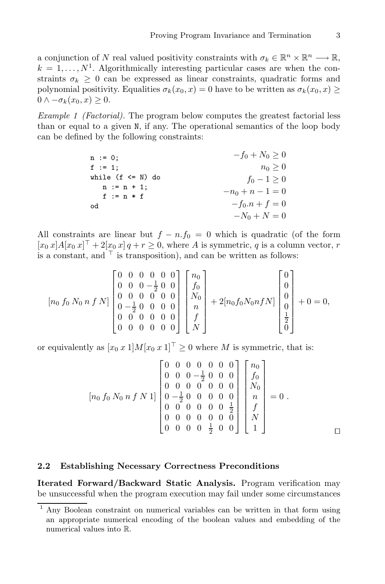a conjunction of N real valued positivity constraints with  $\sigma_k \in \mathbb{R}^n \times \mathbb{R}^n \longrightarrow \mathbb{R}$ ,  $k = 1, \ldots, N^1$ . Algorithmically interesting particular cases are when the constraints  $\sigma_k \geq 0$  can be expressed as linear constraints, quadratic forms and polynomial positivity. Equalities  $\sigma_k(x_0, x) = 0$  have to be written as  $\sigma_k(x_0, x) \geq$  $0 \wedge -\sigma_k(x_0, x) \geq 0.$ 

*Example 1 (Factorial)*. The program below computes the greatest factorial less than or equal to a given N, if any. The operational semantics of the loop body can be defined by the following constraints:

| n := 0;           | $-f_0 + N_0 \geq 0$ |
|-------------------|---------------------|
| f := 1;           | $n_0 \geq 0$        |
| while (f <= N) do | $f_0 - 1 \geq 0$    |
| n := n + 1;       | $-n_0 + n - 1 = 0$  |
| od                | $-f_0.n + f = 0$    |
| $-N_0 + N = 0$    |                     |

All constraints are linear but  $f - n.f_0 = 0$  which is quadratic (of the form  $[x_0 x]A[x_0 x]^\top + 2[x_0 x]q + r \geq 0$ , where A is symmetric, q is a column vector, r is a constant, and  $\pm$  is transposition), and can be written as follows:

$$
[n_0 f_0 N_0 n f N] \begin{bmatrix} 0 & 0 & 0 & 0 & 0 \\ 0 & 0 & 0 & -\frac{1}{2} & 0 & 0 \\ 0 & 0 & 0 & 0 & 0 & 0 \\ 0 & -\frac{1}{2} & 0 & 0 & 0 & 0 \\ 0 & 0 & 0 & 0 & 0 & 0 \\ 0 & 0 & 0 & 0 & 0 & 0 \end{bmatrix} \begin{bmatrix} n_0 \\ f_0 \\ N_0 \\ n \\ f \\ f \\ N \end{bmatrix} + 2[n_0 f_0 N_0 n f N] \begin{bmatrix} 0 \\ 0 \\ 0 \\ 0 \\ \frac{1}{2} \\ 0 \end{bmatrix} + 0 = 0,
$$

or equivalently as  $[x_0 x 1]M[x_0 x 1]^\top \geq 0$  where M is symmetric, that is:

$$
[n_0 f_0 N_0 n f N 1] \begin{bmatrix} 0 & 0 & 0 & 0 & 0 & 0 \\ 0 & 0 & 0 & -\frac{1}{2} & 0 & 0 & 0 \\ 0 & 0 & 0 & 0 & 0 & 0 & 0 \\ 0 & -\frac{1}{2} & 0 & 0 & 0 & 0 & 0 \\ 0 & 0 & 0 & 0 & 0 & 0 & \frac{1}{2} \\ 0 & 0 & 0 & 0 & 0 & 0 & 0 \\ 0 & 0 & 0 & 0 & \frac{1}{2} & 0 & 0 \end{bmatrix} \begin{bmatrix} n_0 \\ f_0 \\ N_0 \\ n \\ f \\ N \\ N \\ 1 \end{bmatrix} = 0.
$$

**2.2 Establishing Necessary Correctness Preconditions**

**Iterated Forward/Backward Static Analysis.** Program verification may be unsuccessful when the program execution may fail under some circumstances

<sup>&</sup>lt;sup>1</sup> Any Boolean constraint on numerical variables can be written in that form using an appropriate numerical encoding of the boolean values and embedding of the numerical values into R.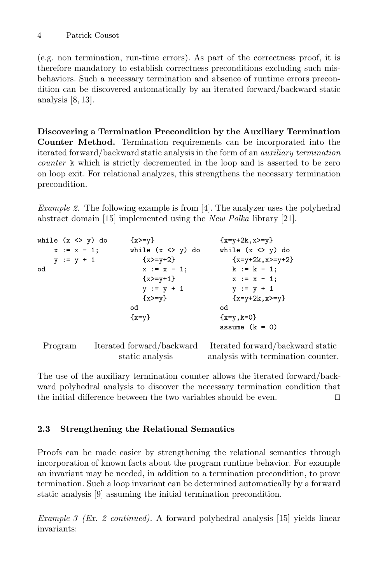(e.g. non termination, run-time errors). As part of the correctness proof, it is therefore mandatory to establish correctness preconditions excluding such misbehaviors. Such a necessary termination and absence of runtime errors precondition can be discovered automatically by an iterated forward/backward static analysis [8, 13].

**Discovering a Termination Precondition by the Auxiliary Termination Counter Method.** Termination requirements can be incorporated into the iterated forward/backward static analysis in the form of an *auxiliary termination counter* k which is strictly decremented in the loop and is asserted to be zero on loop exit. For relational analyzes, this strengthens the necessary termination precondition.

*Example 2.* The following example is from [4]. The analyzer uses the polyhedral abstract domain [15] implemented using the *New Polka* library [21].

| while $(x \leftrightarrow y)$ do | $\{x>=y\}$                       | ${x=y+2k, x>=y}$                                           |
|----------------------------------|----------------------------------|------------------------------------------------------------|
| $x := x - 1;$                    | while $(x \leftrightarrow y)$ do | while $(x \leftrightarrow y)$ do                           |
| $y := y + 1$                     | $\{x>=y+2\}$                     | ${x=y+2k, x>=y+2}$                                         |
| od                               | $x := x - 1;$                    | $k := k - 1;$                                              |
|                                  | $\{x>=y+1\}$                     | $x := x - 1;$                                              |
|                                  | $y := y + 1$                     | $y := y + 1$                                               |
|                                  | $\{x>=v\}$                       | ${x=y+2k, x>=y}$                                           |
|                                  | od                               | od                                                         |
|                                  | $\{x=y\}$                        | $\{x=y, k=0\}$                                             |
|                                  |                                  | assume $(k = 0)$                                           |
| Program                          |                                  | Iterated forward/backward Iterated forward/backward static |

The use of the auxiliary termination counter allows the iterated forward/backward polyhedral analysis to discover the necessary termination condition that

the initial difference between the two variables should be even.

analysis with termination counter.

### **2.3 Strengthening the Relational Semantics**

static analysis

Proofs can be made easier by strengthening the relational semantics through incorporation of known facts about the program runtime behavior. For example an invariant may be needed, in addition to a termination precondition, to prove termination. Such a loop invariant can be determined automatically by a forward static analysis [9] assuming the initial termination precondition.

*Example 3 (Ex. 2 continued).* A forward polyhedral analysis [15] yields linear invariants: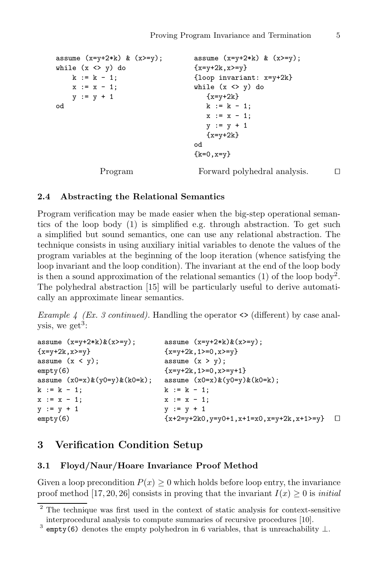```
assume (x=y+2*k) & (x>=y);
while (x \leftrightarrow y) do
    k := k - 1;x := x - 1;y := y + 1od
                                   assume (x=y+2*k) & (x>=y);
                                   {x=y+2k, x>=y}{loop invariant: x=y+2k}
                                   while (x \leftrightarrow y) do
                                      {x=y+2k}k := k - 1;x := x - 1;y := y + 1{x=y+2k}od
                                   {k=0, x=y}Program Forward polyhedral analysis. \square
```
#### **2.4 Abstracting the Relational Semantics**

Program verification may be made easier when the big-step operational semantics of the loop body (1) is simplified e.g. through abstraction. To get such a simplified but sound semantics, one can use any relational abstraction. The technique consists in using auxiliary initial variables to denote the values of the program variables at the beginning of the loop iteration (whence satisfying the loop invariant and the loop condition). The invariant at the end of the loop body is then a sound approximation of the relational semantics  $(1)$  of the loop body<sup>2</sup>. The polyhedral abstraction [15] will be particularly useful to derive automatically an approximate linear semantics.

*Example 4 (Ex. 3 continued).* Handling the operator  $\leq$  (different) by case analvsis, we get<sup>3</sup>:

```
assume (x=y+2*k) & (x>=y);
{x=y+2k, x>=y}assume (x < y);
empty(6)
assume (x0=x) & (y0=y) & (k0=k);k := k - 1;x := x - 1;y := y + 1empty(6)
                                assume (x=y+2*k) & (x>=y);
                                {x=y+2k,1>=0,x>=y}
                                assume (x > y);
                                {x=y+2k, 1>=0, x>=y+1}assume (x0=x)(x(y0=y))(x(k0=k));k := k - 1;x := x - 1;y := y + 1{x+2=y+2k0, y=y0+1, x+1=x0, x=y+2k, x+1>=y}
```
### **3 Verification Condition Setup**

### **3.1 Floyd/Naur/Hoare Invariance Proof Method**

Given a loop precondition  $P(x) \geq 0$  which holds before loop entry, the invariance proof method [17, 20, 26] consists in proving that the invariant  $I(x) \geq 0$  is *initial* 

<sup>&</sup>lt;sup>2</sup> The technique was first used in the context of static analysis for context-sensitive interprocedural analysis to compute summaries of recursive procedures [10].

<sup>&</sup>lt;sup>3</sup> empty(6) denotes the empty polyhedron in 6 variables, that is unreachability  $\bot$ .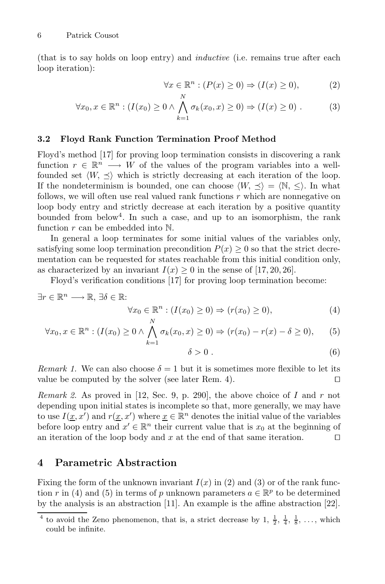(that is to say holds on loop entry) and *inductive* (i.e. remains true after each loop iteration):

$$
\forall x \in \mathbb{R}^n : (P(x) \ge 0) \Rightarrow (I(x) \ge 0), \tag{2}
$$

$$
\forall x_0, x \in \mathbb{R}^n : (I(x_0) \ge 0 \land \bigwedge_{k=1}^n \sigma_k(x_0, x) \ge 0) \Rightarrow (I(x) \ge 0) .
$$
 (3)

#### **3.2 Floyd Rank Function Termination Proof Method**

Floyd's method [17] for proving loop termination consists in discovering a rank function  $r \in \mathbb{R}^n \longrightarrow W$  of the values of the program variables into a wellfounded set  $\langle W, \preceq \rangle$  which is strictly decreasing at each iteration of the loop. If the nondeterminism is bounded, one can choose  $\langle W, \preceq \rangle = \langle \mathbb{N}, \leq \rangle$ . In what follows, we will often use real valued rank functions r which are nonnegative on loop body entry and strictly decrease at each iteration by a positive quantity bounded from below<sup>4</sup>. In such a case, and up to an isomorphism, the rank function  $r$  can be embedded into  $\mathbb N$ .

In general a loop terminates for some initial values of the variables only, satisfying some loop termination precondition  $P(x) \geq 0$  so that the strict decrementation can be requested for states reachable from this initial condition only, as characterized by an invariant  $I(x) \geq 0$  in the sense of [17, 20, 26].

Floyd's verification conditions [17] for proving loop termination become:

$$
\exists r \in \mathbb{R}^n \longrightarrow \mathbb{R}, \exists \delta \in \mathbb{R}: \forall x_0 \in \mathbb{R}^n : (I(x_0) \ge 0) \Rightarrow (r(x_0) \ge 0),
$$
\n(4)

 $\mathbf{v}$ 

$$
\forall x_0, x \in \mathbb{R}^n : (I(x_0) \ge 0 \land \bigwedge_{k=1}^N \sigma_k(x_0, x) \ge 0) \Rightarrow (r(x_0) - r(x) - \delta \ge 0), \qquad (5)
$$

$$
\delta > 0 \tag{6}
$$

*Remark 1.* We can also choose  $\delta = 1$  but it is sometimes more flexible to let its value be computed by the solver (see later Rem. 4).  $\Box$ 

*Remark 2.* As proved in [12, Sec. 9, p. 290], the above choice of I and r not depending upon initial states is incomplete so that, more generally, we may have to use  $I(\underline{x}, x')$  and  $r(\underline{x}, x')$  where  $\underline{x} \in \mathbb{R}^n$  denotes the initial value of the variables before loop entry and  $x' \in \mathbb{R}^n$  their current value that is  $x_0$  at the beginning of an iteration of the loop body and x at the end of that same iteration. an iteration of the loop body and  $x$  at the end of that same iteration.

#### **4 Parametric Abstraction**

Fixing the form of the unknown invariant  $I(x)$  in (2) and (3) or of the rank function r in (4) and (5) in terms of p unknown parameters  $a \in \mathbb{R}^p$  to be determined by the analysis is an abstraction [11]. An example is the affine abstraction [22].

<sup>&</sup>lt;sup>4</sup> to avoid the Zeno phenomenon, that is, a strict decrease by 1,  $\frac{1}{2}$ ,  $\frac{1}{4}$ ,  $\frac{1}{8}$ , ..., which could be infinite.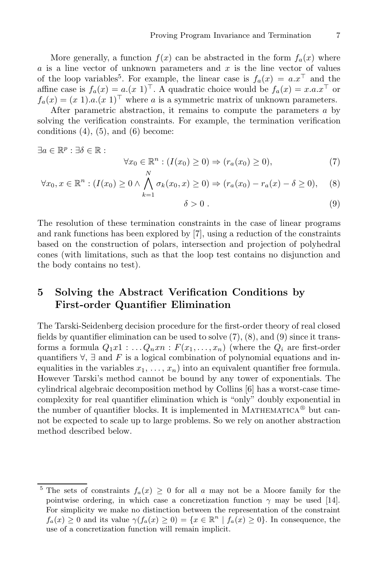More generally, a function  $f(x)$  can be abstracted in the form  $f_a(x)$  where  $a$  is a line vector of unknown parameters and  $x$  is the line vector of values of the loop variables<sup>5</sup>. For example, the linear case is  $f_a(x) = a.x^\top$  and the affine case is  $f_a(x) = a.(x\ 1)^\top$ . A quadratic choice would be  $f_a(x) = x.a.x^\top$  or  $f_a(x) = (x \ 1).a.(x \ 1)^\top$  where a is a symmetric matrix of unknown parameters.

After parametric abstraction, it remains to compute the parameters a by solving the verification constraints. For example, the termination verification conditions  $(4)$ ,  $(5)$ , and  $(6)$  become:

$$
\exists a \in \mathbb{R}^p : \exists \delta \in \mathbb{R} :
$$

$$
\forall x_0 \in \mathbb{R}^n : (I(x_0) \ge 0) \Rightarrow (r_a(x_0) \ge 0), \tag{7}
$$

$$
\forall x_0, x \in \mathbb{R}^n : (I(x_0) \ge 0 \land \bigwedge_{k=1}^n \sigma_k(x_0, x) \ge 0) \Rightarrow (r_a(x_0) - r_a(x) - \delta \ge 0), \quad (8)
$$

$$
\delta > 0 \tag{9}
$$

The resolution of these termination constraints in the case of linear programs and rank functions has been explored by [7], using a reduction of the constraints based on the construction of polars, intersection and projection of polyhedral cones (with limitations, such as that the loop test contains no disjunction and the body contains no test).

### **5 Solving the Abstract Verification Conditions by First-order Quantifier Elimination**

The Tarski-Seidenberg decision procedure for the first-order theory of real closed fields by quantifier elimination can be used to solve  $(7)$ ,  $(8)$ , and  $(9)$  since it transforms a formula  $Q_1x1 \ldots Q_nx n : F(x_1,\ldots,x_n)$  (where the  $Q_i$  are first-order quantifiers  $\forall$ ,  $\exists$  and  $F$  is a logical combination of polynomial equations and inequalities in the variables  $x_1, \ldots, x_n$  into an equivalent quantifier free formula. However Tarski's method cannot be bound by any tower of exponentials. The cylindrical algebraic decomposition method by Collins [6] has a worst-case timecomplexity for real quantifier elimination which is "only" doubly exponential in the number of quantifier blocks. It is implemented in MATHEMATICA<sup>®</sup> but cannot be expected to scale up to large problems. So we rely on another abstraction method described below.

<sup>&</sup>lt;sup>5</sup> The sets of constraints  $f_a(x) \geq 0$  for all a may not be a Moore family for the pointwise ordering, in which case a concretization function  $\gamma$  may be used [14]. For simplicity we make no distinction between the representation of the constraint  $f_a(x) \geq 0$  and its value  $\gamma(f_a(x) \geq 0) = \{x \in \mathbb{R}^n \mid f_a(x) \geq 0\}$ . In consequence, the use of a concretization function will remain implicit.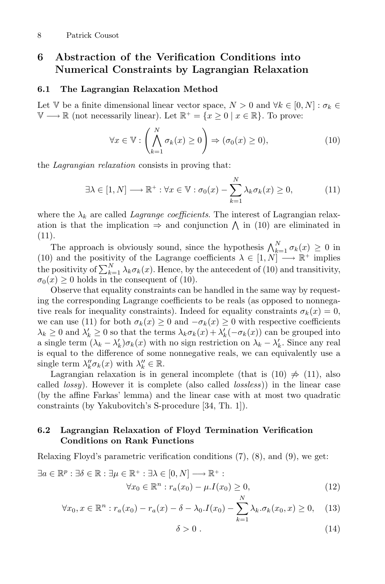### **6 Abstraction of the Verification Conditions into Numerical Constraints by Lagrangian Relaxation**

#### **6.1 The Lagrangian Relaxation Method**

Let V be a finite dimensional linear vector space,  $N > 0$  and  $\forall k \in [0, N] : \sigma_k \in$  $\mathbb{V}$  → R (not necessarily linear). Let  $\mathbb{R}^+ = \{x \geq 0 \mid x \in \mathbb{R}\}.$  To prove:

$$
\forall x \in \mathbb{V}: \left(\bigwedge_{k=1}^{N} \sigma_k(x) \ge 0\right) \Rightarrow (\sigma_0(x) \ge 0), \tag{10}
$$

the *Lagrangian relaxation* consists in proving that:

$$
\exists \lambda \in [1, N] \longrightarrow \mathbb{R}^+ : \forall x \in \mathbb{V} : \sigma_0(x) - \sum_{k=1}^N \lambda_k \sigma_k(x) \ge 0,
$$
 (11)

where the  $\lambda_k$  are called *Lagrange coefficients*. The interest of Lagrangian relaxation is that the implication  $\Rightarrow$  and conjunction  $\wedge$  in (10) are eliminated in (11).

The approach is obviously sound, since the hypothesis  $\bigwedge_{k=1}^{N} \sigma_k(x) \geq 0$  in (10) and the positivity of the Lagrange coefficients  $\lambda \in [1, N] \longrightarrow \mathbb{R}^+$  implies the positivity of  $\sum_{k=1}^{N} \lambda_k \sigma_k(x)$ . Hence, by the antecedent of (10) and transitivity,  $\sigma_0(x) \geq 0$  holds in the consequent of (10).

Observe that equality constraints can be handled in the same way by requesting the corresponding Lagrange coefficients to be reals (as opposed to nonnegative reals for inequality constraints). Indeed for equality constraints  $\sigma_k(x) = 0$ , we can use (11) for both  $\sigma_k(x) \geq 0$  and  $-\sigma_k(x) \geq 0$  with respective coefficients  $\lambda_k \geq 0$  and  $\lambda'_k \geq 0$  so that the terms  $\lambda_k \sigma_k(x) + \lambda'_k(-\sigma_k(x))$  can be grouped into a single term  $(\lambda_k - \lambda'_k)\sigma_k(x)$  with no sign restriction on  $\lambda_k - \lambda'_k$ . Since any real is equal to the difference of some nonnegative reals, we can equivalently use a single term  $\lambda_k'' \sigma_k(x)$  with  $\lambda_k'' \in \mathbb{R}$ .

Lagrangian relaxation is in general incomplete (that is  $(10) \not\Rightarrow (11)$ , also called *lossy*). However it is complete (also called *lossless*)) in the linear case (by the affine Farkas' lemma) and the linear case with at most two quadratic constraints (by Yakubovitch's S-procedure [34, Th. 1]).

#### **6.2 Lagrangian Relaxation of Floyd Termination Verification Conditions on Rank Functions**

Relaxing Floyd's parametric verification conditions (7), (8), and (9), we get:

$$
\exists a \in \mathbb{R}^p : \exists \delta \in \mathbb{R} : \exists \mu \in \mathbb{R}^+ : \exists \lambda \in [0, N] \longrightarrow \mathbb{R}^+ : \\
\forall x_0 \in \mathbb{R}^n : r_a(x_0) - \mu.I(x_0) \ge 0, \qquad \qquad (12)
$$

$$
\forall x_0, x \in \mathbb{R}^n : r_a(x_0) - r_a(x) - \delta - \lambda_0 \cdot I(x_0) - \sum_{k=1}^N \lambda_k \cdot \sigma_k(x_0, x) \ge 0, \quad (13)
$$

$$
\delta > 0 \tag{14}
$$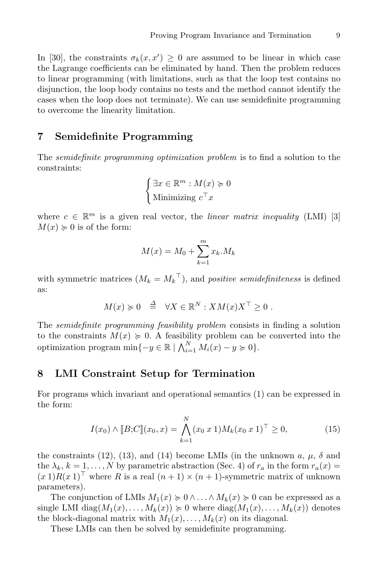In [30], the constraints  $\sigma_k(x, x') \geq 0$  are assumed to be linear in which case the Lagrange coefficients can be eliminated by hand. Then the problem reduces to linear programming (with limitations, such as that the loop test contains no disjunction, the loop body contains no tests and the method cannot identify the cases when the loop does not terminate). We can use semidefinite programming to overcome the linearity limitation.

### **7 Semidefinite Programming**

The *semidefinite programming optimization problem* is to find a solution to the constraints:

$$
\begin{cases} \exists x \in \mathbb{R}^m : M(x) \succcurlyeq 0 \\ \text{Minimizing } c^\top x \end{cases}
$$

where  $c \in \mathbb{R}^m$  is a given real vector, the *linear matrix inequality* (LMI) [3]  $M(x) \geq 0$  is of the form:

$$
M(x) = M_0 + \sum_{k=1}^{m} x_k.M_k
$$

with symmetric matrices  $(M_k = M_k^{\top})$ , and *positive semidefiniteness* is defined as:

$$
M(x) \succcurlyeq 0 \quad \stackrel{\Delta}{=} \quad \forall X \in \mathbb{R}^N : XM(x)X^\top \geq 0 \; .
$$

The *semidefinite programming feasibility problem* consists in finding a solution to the constraints  $M(x) \geq 0$ . A feasibility problem can be converted into the optimization program  $\min\{-y \in \mathbb{R} \mid \bigwedge_{i=1}^{N} M_i(x) - y \succcurlyeq 0\}.$ 

#### **8 LMI Constraint Setup for Termination**

For programs which invariant and operational semantics (1) can be expressed in the form:

$$
I(x_0) \wedge [B;C](x_0,x) = \bigwedge_{k=1}^N (x_0 \ x \ 1) M_k(x_0 \ x \ 1)^{\top} \ge 0,
$$
\n(15)

the constraints (12), (13), and (14) become LMIs (in the unknown a,  $\mu$ ,  $\delta$  and the  $\lambda_k$ ,  $k = 1, \ldots, N$  by parametric abstraction (Sec. 4) of  $r_a$  in the form  $r_a(x) =$  $(x 1)R(x 1)$ <sup>T</sup> where R is a real  $(n + 1) \times (n + 1)$ -symmetric matrix of unknown parameters).

The conjunction of LMIs  $M_1(x) \ge 0 \wedge \ldots \wedge M_k(x) \ge 0$  can be expressed as a single LMI diag $(M_1(x),...,M_k(x)) \geq 0$  where diag $(M_1(x),...,M_k(x))$  denotes the block-diagonal matrix with  $M_1(x), \ldots, M_k(x)$  on its diagonal.

These LMIs can then be solved by semidefinite programming.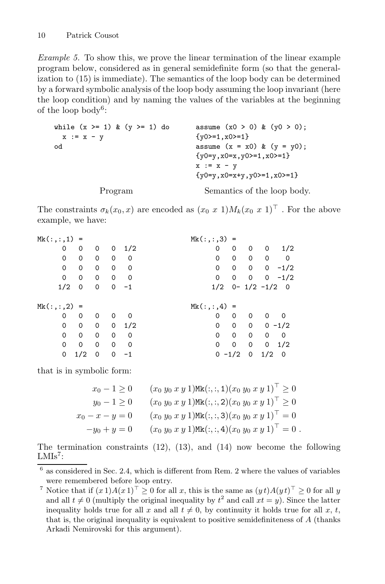*Example 5.* To show this, we prove the linear termination of the linear example program below, considered as in general semidefinite form (so that the generalization to (15) is immediate). The semantics of the loop body can be determined by a forward symbolic analysis of the loop body assuming the loop invariant (here the loop condition) and by naming the values of the variables at the beginning of the loop body<sup>6</sup>:

while  $(x \geq 1)$  &  $(y \geq 1)$  do  $x := x - y$ od assume  $(x0 > 0)$  &  $(y0 > 0)$ ; {y0>=1,x0>=1} assume  $(x = x0)$  &  $(y = y0)$ ; {y0=y,x0=x,y0>=1,x0>=1}  $x := x - y$ {y0=y,x0=x+y,y0>=1,x0>=1} Program Semantics of the loop body.

The constraints  $\sigma_k(x_0, x)$  are encoded as  $(x_0, x_1) M_k(x_0, x_1)$ <sup>T</sup>. For the above example, we have:

| $Mk(:,:, 1) =$ |             |          |          |          | $Mk$ (:,:,3) =                            |
|----------------|-------------|----------|----------|----------|-------------------------------------------|
| 0              | 0           | 0        | 0        | 1/2      | 1/2<br>$\mathbf 0$<br>0<br>0<br>0         |
| 0              | 0           | 0        | 0        | 0        | 0<br>0<br>0<br>0<br>$\circ$               |
| 0              | $\mathbf 0$ | 0        | 0        | $\Omega$ | 0<br>$-1/2$<br>0<br>0<br>0                |
| 0              | 0           | 0        | 0        | 0        | 0<br>$-1/2$<br>0<br>0<br>$\circ$          |
| 1/2            | $\mathbf 0$ | 0        | 0        | $-1$     | $1/2$ 0- $1/2$ -1/2 0                     |
| $Mk(:,:, 2) =$ |             |          |          |          | $Mk(:,:,4) =$                             |
| 0              | 0           | 0        | 0        | 0        | 0<br>0<br>0<br>0<br>0                     |
| 0              | 0           | 0        | 0        | 1/2      | 0<br>0<br>0<br>$0 - 1/2$                  |
| 0              | 0           | $\Omega$ | 0        | 0        | 0<br>0<br>0<br>0<br>$\overline{0}$        |
| 0              | 0           | 0        | 0        | 0        | 0<br>1/2<br>0<br>0<br>0                   |
| 0              | 1/2         | 0        | $\Omega$ | $-1$     | $-1/2$<br>1/2<br>0<br>0<br>$\overline{0}$ |

that is in symbolic form:

 $x_0 - 1 \ge 0$   $(x_0, y_0, x, y_1)$ Mk $(:, :, 1)(x_0, y_0, x, y_1)^\top \ge 0$  $y_0 - 1 \ge 0$   $(x_0, y_0, x, y_1)$ Mk $(:, :, 2)(x_0, y_0, x, y_1)^\top \ge 0$  $x_0 - x - y = 0$   $(x_0, y_0, x, y_1)$ Mk $(:, :, 3)(x_0, y_0, x, y_1)^\top = 0$  $-y_0 + y = 0$   $(x_0, y_0, x, y_1)$ Mk $(:, :, 4)(x_0, y_0, x, y_1)^\top = 0$ .

The termination constraints  $(12)$ ,  $(13)$ , and  $(14)$  now become the following  $LMIs<sup>7</sup>$ :

 $6$  as considered in Sec. 2.4, which is different from Rem. 2 where the values of variables were remembered before loop entry.

<sup>&</sup>lt;sup>7</sup> Notice that if  $(x 1)A(x 1)^\top \geq 0$  for all x, this is the same as  $(y t)A(y t)^\top \geq 0$  for all y and all  $t \neq 0$  (multiply the original inequality by  $t^2$  and call  $xt = y$ ). Since the latter inequality holds true for all x and all  $t \neq 0$ , by continuity it holds true for all x, t, that is, the original inequality is equivalent to positive semidefiniteness of A (thanks Arkadi Nemirovski for this argument).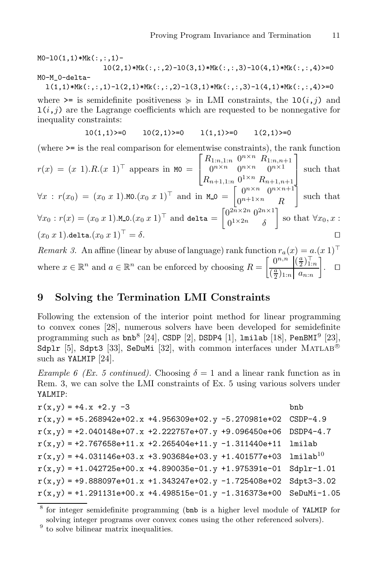$$
M0-10(1,1)*Mk(:,:,1)-10(2,1)*Mk(:,:,2)-10(3,1)*Mk(:,:,3)-10(4,1)*Mk(:,:,4)>=0
$$
  

$$
M0-M_0-delta-
$$

$$
1(1,1)*Mk(:,:,1)-1(2,1)*Mk(:,:,2)-1(3,1)*Mk(:,:,3)-1(4,1)*Mk(:,:,4)=0
$$

where  $\geq$  is semidefinite positiveness  $\succeq$  in LMI constraints, the 10 $(i, j)$  and  $l(i,j)$  are the Lagrange coefficients which are requested to be nonnegative for inequality constraints:

$$
10(1,1) >= 0 \qquad 10(2,1) >= 0 \qquad 1(1,1) >= 0 \qquad 1(2,1) >= 0
$$

(where >= is the real comparison for elementwise constraints), the rank function

$$
r(x) = (x \ 1).R.(x \ 1)^{\top} \text{ appears in } \mathsf{M0} = \begin{bmatrix} R_{1:n,1:n} & 0^{n \times n} & R_{1:n,n+1} \\ 0^{n \times n} & 0^{n \times n} & 0^{n \times 1} \\ R_{n+1,1:n} & 0^{1 \times n} & R_{n+1,n+1} \end{bmatrix} \text{ such that}
$$
  

$$
\forall x : r(x_0) = (x_0 \ x \ 1).M0.(x_0 \ x \ 1)^{\top} \text{ and in } \mathsf{M.0} = \begin{bmatrix} 0^{n \times n} & 0^{n \times n+1} \\ 0^{n+1 \times n} & R \end{bmatrix} \text{ such that}
$$
  

$$
\forall x_0 : r(x) = (x_0 \ x \ 1).M0.(x_0 \ x \ 1)^{\top} \text{ and } \text{delta} = \begin{bmatrix} 0^{2n \times 2n} & 0^{2n \times 1} \\ 0^{1 \times 2n} & \delta \end{bmatrix} \text{ so that } \forall x_0, x : (x_0 \ x \ 1). \text{delta}.(x_0 \ x \ 1)^{\top} = \delta.
$$

where  $x \in \mathbb{R}^n$  and  $a \in \mathbb{R}^n$  can be enforced by choosing  $R = \left[\frac{0^{n,n}}{\left(\frac{a}{2}\right)_{1:n}}\right]_{a_{n:n}}^{\left(\frac{a}{2}\right)_{1:n}}$ .<br>|. □

### **9 Solving the Termination LMI Constraints**

Following the extension of the interior point method for linear programming to convex cones [28], numerous solvers have been developed for semidefinite programming such as  $bnb^8$  [24], CSDP [2], DSDP4 [1], lmilab [18], PenBMI<sup>9</sup> [23], Sdplr [5], Sdpt3 [33], SeDuMi [32], with common interfaces under  $MATLAB^{\circledR}$ such as YALMIP  $[24]$ .

*Example 6 (Ex. 5 continued).* Choosing  $\delta = 1$  and a linear rank function as in Rem. 3, we can solve the LMI constraints of Ex. 5 using various solvers under YALMIP:

```
r(x,y) = +4.x +2.y -3 bnb
r(x,y) = +5.268942e+02.x +4.956309e+02.y -5.270981e+02 CSDP-4.9r(x,y) = +2.040148e+07.x +2.222757e+07.y +9.096450e+06 DSDP4-4.7
r(x,y) = +2.767658e+11.x +2.265404e+11.y -1.311440e+11 Inilabr(x,y) = +4.031146e+03.x +3.903684e+03.y +1.401577e+03 Inilab<sup>10</sup>r(x,y) = +1.042725e+00.x +4.890035e-01.y +1.975391e-01 Sdp1r-1.01r(x,y) = +9.888097e+01.x +1.343247e+02.y -1.725408e+02 Sdpt3-3.02
r(x,y) = +1.291131e+00.x +4.498515e-01.y -1.316373e+00 SeDuMi-1.05
```
<sup>8</sup> for integer semidefinite programming (bnb is a higher level module of YALMIP for solving integer programs over convex cones using the other referenced solvers).

<sup>&</sup>lt;sup>9</sup> to solve bilinear matrix inequalities.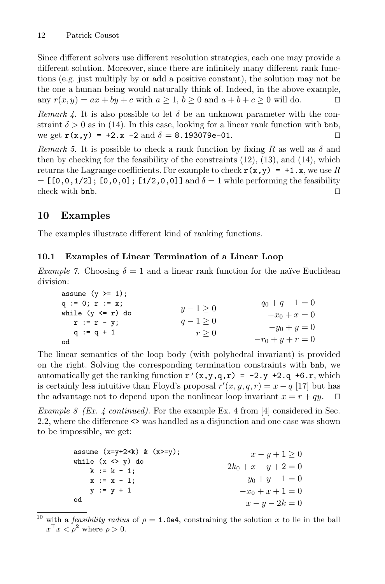Since different solvers use different resolution strategies, each one may provide a different solution. Moreover, since there are infinitely many different rank functions (e.g. just multiply by or add a positive constant), the solution may not be the one a human being would naturally think of. Indeed, in the above example, any  $r(x, y) = ax + by + c$  with  $a \ge 1$ ,  $b \ge 0$  and  $a + b + c \ge 0$  will do.

*Remark 4.* It is also possible to let  $\delta$  be an unknown parameter with the constraint  $\delta > 0$  as in (14). In this case, looking for a linear rank function with bnb, we get  $r(x,y) = +2 \cdot x - 2$  and  $\delta = 8.193079e-01$ .

*Remark 5.* It is possible to check a rank function by fixing R as well as  $\delta$  and then by checking for the feasibility of the constraints  $(12)$ ,  $(13)$ , and  $(14)$ , which returns the Lagrange coefficients. For example to check  $r(x,y) = +1$ . x, we use R  $=[[0,0,1/2]; [0,0,0]; [1/2,0,0]]$  and  $\delta = 1$  while performing the feasibility check with  $b$ nb.  $\Box$ 

# **10 Examples**

The examples illustrate different kind of ranking functions.

### **10.1 Examples of Linear Termination of a Linear Loop**

*Example 7.* Choosing  $\delta = 1$  and a linear rank function for the naïve Euclidean division:

| assume $(y \ge 1)$ ; |             |                    |
|----------------------|-------------|--------------------|
| q := 0; $r$ := $x$ ; |             | $-q_0 + q - 1 = 0$ |
| while $(y \le r)$ do | $y-1\geq 0$ | $-x_0 + x = 0$     |
| $r := r - y;$        | $q - 1 > 0$ | $-y_0 + y = 0$     |
| $q := q + 1$         | $r \geq 0$  |                    |
| od                   |             | $-r_0 + y + r = 0$ |

The linear semantics of the loop body (with polyhedral invariant) is provided on the right. Solving the corresponding termination constraints with bnb, we automatically get the ranking function  $r'(x,y,q,r) = -2. y +2. q +6.r$ , which is certainly less intuitive than Floyd's proposal  $r'(x, y, q, r) = x - q$  [17] but has the advantage not to depend upon the nonlinear loop invariant  $x = r + qy$ .

*Example 8 (Ex. 4 continued).* For the example Ex. 4 from [4] considered in Sec. 2.2, where the difference <> was handled as a disjunction and one case was shown to be impossible, we get:

| assume $(x=y+2*k)$ & $(x>=y)$ ;  | $x-y+1\geq 0$           |
|----------------------------------|-------------------------|
| while $(x \leftrightarrow y)$ do |                         |
| $k := k - 1$ :                   | $-2k_0 + x - y + 2 = 0$ |
| $x := x - 1$ ;                   | $-y_0 + y - 1 = 0$      |
| $y := y + 1$                     | $-x_0+x+1=0$            |
| od                               | $x - y - 2k = 0$        |
|                                  |                         |

<sup>10</sup> with a *feasibility radius* of  $\rho = 1.0$ e4, constraining the solution x to lie in the ball  $x^{\top}x < \rho^2$  where  $\rho > 0$ .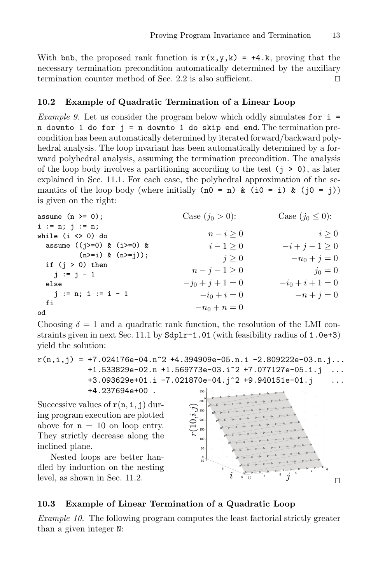With bnb, the proposed rank function is  $r(x,y,k) = +4.k$ , proving that the necessary termination precondition automatically determined by the auxiliary termination counter method of Sec. 2.2 is also sufficient.  $\Box$ 

#### **10.2 Example of Quadratic Termination of a Linear Loop**

*Example 9.* Let us consider the program below which oddly simulates for i = n downto 1 do for  $j = n$  downto 1 do skip end end. The termination precondition has been automatically determined by iterated forward/backward polyhedral analysis. The loop invariant has been automatically determined by a forward polyhedral analysis, assuming the termination precondition. The analysis of the loop body involves a partitioning according to the test  $(j > 0)$ , as later explained in Sec. 11.1. For each case, the polyhedral approximation of the semantics of the loop body (where initially  $(n0 = n)$  &  $(i0 = i)$  &  $(j0 = j)$ ) is given on the right:

| assume $(n \ge 0)$ ;              | Case $(j_0 > 0)$ : | Case $(j_0 \leq 0)$ : |
|-----------------------------------|--------------------|-----------------------|
| $i := n; j := n;$                 | $n-i\geq 0$        | $i \geq 0$            |
| while $(i \leftrightarrow 0)$ do  |                    |                       |
| assume $((j>=0)$ & $(i>=0)$ &     | $i - 1 \geq 0$     | $-i + j - 1 \ge 0$    |
| $(n>=i)$ & $(n>=j)$ ;             | $i \geq 0$         | $-n_0 + j = 0$        |
| if $(i > 0)$ then<br>$j := j - 1$ | $n - j - 1 \geq 0$ | $i_0 = 0$             |
| else                              | $-j_0 + j + 1 = 0$ | $-i_0 + i + 1 = 0$    |
| $j := n; i := i - 1$              | $-i_0 + i = 0$     | $-n+i=0$              |
| fi<br>od                          | $-n_0 + n = 0$     |                       |
|                                   |                    |                       |

Choosing  $\delta = 1$  and a quadratic rank function, the resolution of the LMI constraints given in next Sec. 11.1 by Sdplr-1.01 (with feasibility radius of 1.0e+3) yield the solution:

```
r(n,i,j) = +7.024176e-04.n^2 +4.394909e-05.n.i -2.809222e-03.n.j...+1.533829e-02.n +1.569773e-03.i^2 +7.077127e-05.i.j ...
           +3.093629e+01.i -7.021870e-04.i ^2 +9.940151e-01.i+4.237694e+00 .
```
Successive values of  $r(n, i, j)$  during program execution are plotted above for  $n = 10$  on loop entry. They strictly decrease along the inclined plane.

Nested loops are better handled by induction on the nesting



### **10.3 Example of Linear Termination of a Quadratic Loop**

*Example 10.* The following program computes the least factorial strictly greater than a given integer N: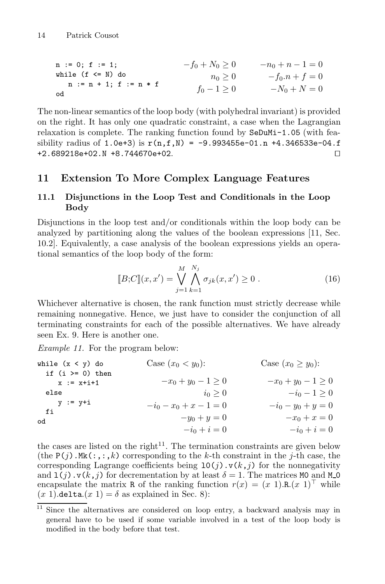| $n := 0; f := 1;$              | $-f_0 + N_0 \geq 0$ | $-n_0 + n - 1 = 0$ |
|--------------------------------|---------------------|--------------------|
| while $(f \leq N)$ do          | $n_0 \geq 0$        | $-f_0.n+f=0$       |
| $n := n + 1; f := n * f$<br>od | $f_0 - 1 \geq 0$    | $-N_0+N=0$         |

The non-linear semantics of the loop body (with polyhedral invariant) is provided on the right. It has only one quadratic constraint, a case when the Lagrangian relaxation is complete. The ranking function found by SeDuMi-1.05 (with feasibility radius of 1.0e+3) is  $r(n,f,N) = -9.993455e-01 \cdot n + 4.346533e-04 \cdot f$ +2.689218e+02.N +8.744670e+02.

## **11 Extension To More Complex Language Features**

#### **11.1 Disjunctions in the Loop Test and Conditionals in the Loop Body**

Disjunctions in the loop test and/or conditionals within the loop body can be analyzed by partitioning along the values of the boolean expressions [11, Sec. 10.2]. Equivalently, a case analysis of the boolean expressions yields an operational semantics of the loop body of the form:

$$
[[B;C]](x,x') = \bigvee_{j=1}^{M} \bigwedge_{k=1}^{N_j} \sigma_{jk}(x,x') \ge 0.
$$
 (16)

Whichever alternative is chosen, the rank function must strictly decrease while remaining nonnegative. Hence, we just have to consider the conjunction of all terminating constraints for each of the possible alternatives. We have already seen Ex. 9. Here is another one.

*Example 11.* For the program below:

| while $(x < y)$ do<br>if $(i \ge 0)$ then | Case $(x_0 \lt y_0)$ :   | Case $(x_0 \geq y_0)$ : |
|-------------------------------------------|--------------------------|-------------------------|
| $x := x + i + 1$                          | $-x_0+y_0-1\geq 0$       | $-x_0 + y_0 - 1 \geq 0$ |
| else                                      | $i_0 \geq 0$             | $-i_0-1>0$              |
| $y := y + i$<br>fi                        | $-i_0 - x_0 + x - 1 = 0$ | $-i_0 - y_0 + y = 0$    |
| od                                        | $-y_0 + y = 0$           | $-x_0 + x = 0$          |
|                                           | $-i_0 + i = 0$           | $-i_0 + i = 0$          |

the cases are listed on the right<sup>11</sup>. The termination constraints are given below (the  $P(j)$ .Mk $(:,,k)$  corresponding to the k-th constraint in the j-th case, the corresponding Lagrange coefficients being  $10(j) \cdot v(k, j)$  for the nonnegativity and  $1(j)$ .  $\nu(k, j)$  for decrementation by at least  $\delta = 1$ . The matrices MO and M\_O encapsulate the matrix R of the ranking function  $r(x) = (x \; 1)$ .R. $(x \; 1)^{\top}$  while  $(x 1)$ .delta. $(x 1) = \delta$  as explained in Sec. 8):

<sup>&</sup>lt;sup>11</sup> Since the alternatives are considered on loop entry, a backward analysis may in general have to be used if some variable involved in a test of the loop body is modified in the body before that test.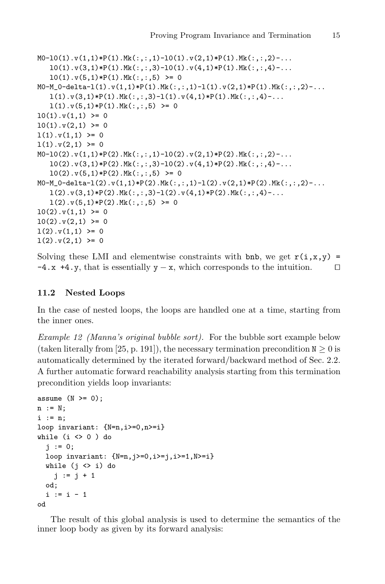```
MO-LO(1).v(1,1)*P(1).Mk(:,:,1)-l0(1).v(2,1)*P(1).Mk(:,:,2)-...
    10(1) \cdot v(3,1) * P(1) \cdot Mk(:,:,3) - 10(1) \cdot v(4,1) * P(1) \cdot Mk(:,:,4) - \ldots10(1) \cdot v(5,1) * P(1) \cdot Mk(:,:,5) > = 0MO-M_0-delta-1(1) \cdot v(1,1)*P(1) \cdot Mk(:,:,1)-1(1) \cdot v(2,1)*P(1) \cdot Mk(:,:,2)-...l(1).v(3,1)*P(1).MK(:,:,3)-l(1).v(4,1)*P(1).MK(:,:,4)-...1(1).v(5,1)*P(1).MK(:,:,5) \ge 010(1).v(1,1) \ge 010(1).v(2,1) \ge 01(1).v(1,1) \ge 01(1).v(2,1) \ge 0MO-10(2) \cdot v(1,1)*P(2) \cdot Mk(:,:,1)-10(2) \cdot v(2,1)*P(2) \cdot Mk(:,:,2)-...10(2) \cdot v(3,1) * P(2) \cdot Mk(:,:,3) - 10(2) \cdot v(4,1) * P(2) \cdot Mk(:,:,4) - \ldots10(2) \cdot v(5,1) * P(2) \cdot Mk(:,:,5) \ge 0MO-M_0-delta-1(2) \cdot v(1,1)*P(2) \cdot Mk(:,:,1)-1(2) \cdot v(2,1)*P(2) \cdot Mk(:,:,2)-...1(2).v(3,1)*P(2).Mk(:,:,3)-1(2).v(4,1)*P(2).Mk(:,:,4)-...1(2) \cdot v(5,1) * P(2) \cdot Mk(:,:,5) > = 0l0(2) \cdot v(1,1) \ge 010(2) \cdot v(2,1) >= 0
1(2) \cdot v(1,1) \ge 01(2).v(2,1) > = 0
```
Solving these LMI and elementwise constraints with bnb, we get  $r(i, x, y)$  =  $-4 \cdot x$  +4.y, that is essentially y – x, which corresponds to the intuition.  $\square$ 

#### **11.2 Nested Loops**

In the case of nested loops, the loops are handled one at a time, starting from the inner ones.

*Example 12 (Manna's original bubble sort).* For the bubble sort example below (taken literally from [25, p. 191]), the necessary termination precondition  $N \geq 0$  is automatically determined by the iterated forward/backward method of Sec. 2.2. A further automatic forward reachability analysis starting from this termination precondition yields loop invariants:

```
assume (N \geq 0);
n := N;
i := n;loop invariant: {N=n,i>=0,n>=i}
while (i \leftrightarrow 0) do
  j := 0;loop invariant: \{N=n, j>=0, i>=j, i>=1, N>=i\}while (j \leftrightarrow i) do
     j := j + 1od;
  i := i - 1od
```
The result of this global analysis is used to determine the semantics of the inner loop body as given by its forward analysis: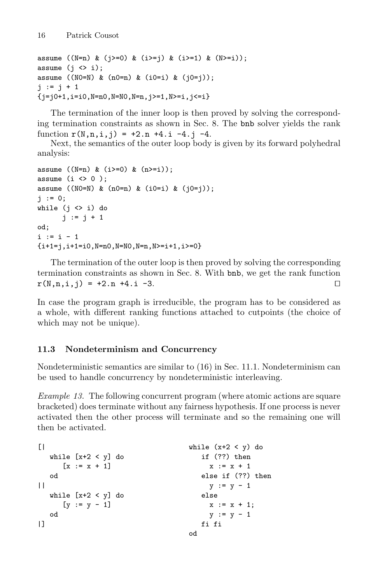```
assume ((N=n) \& (i)=0) \& (i)=i) \& (i)=1) \& (N)=i);
assume (j \leftrightarrow i);
assume ((NO=N) & (n0=n) & (i0=i) & (i0=i));j := j + 1{j=j0+1,i=i0,N=n0,N=N0,N=n,j>=1,N>=i,j<=i}
```
The termination of the inner loop is then proved by solving the corresponding termination constraints as shown in Sec. 8. The bnb solver yields the rank function  $r(N, n, i, j) = +2.n +4.i -4.j -4.$ 

Next, the semantics of the outer loop body is given by its forward polyhedral analysis:

```
assume ((N=n) \& (i)=0) \& (n>=i));assume (i \leftrightarrow 0);
assume ((N0=N) & (n0=n) & (i0=i) & (j0=j));
j := 0;while (j \leftrightarrow i) do
       j := j + 1od;
i := i - 1{i+1=j,i+1=i0,N=n0,N=N0,N=n,N>=i+1,i>=0}
```
The termination of the outer loop is then proved by solving the corresponding termination constraints as shown in Sec. 8. With bnb, we get the rank function  $r(N,n,i,j) = +2.n +4.i -3.$ 

In case the program graph is irreducible, the program has to be considered as a whole, with different ranking functions attached to cutpoints (the choice of which may not be unique).

### **11.3 Nondeterminism and Concurrency**

Nondeterministic semantics are similar to (16) in Sec. 11.1. Nondeterminism can be used to handle concurrency by nondeterministic interleaving.

*Example 13.* The following concurrent program (where atomic actions are square bracketed) does terminate without any fairness hypothesis. If one process is never activated then the other process will terminate and so the remaining one will then be activated.

```
[|
  while [x+2 < y] do
      [x := x + 1]od
| \ |while [x+2 < y] do
      [y := y - 1]od
|]while (x+2 < y) do
                                         if (??) then
                                           x := x + 1else if (??) then
                                           y := y - 1else
                                           x := x + 1;y := y - 1fi fi
                                      od
```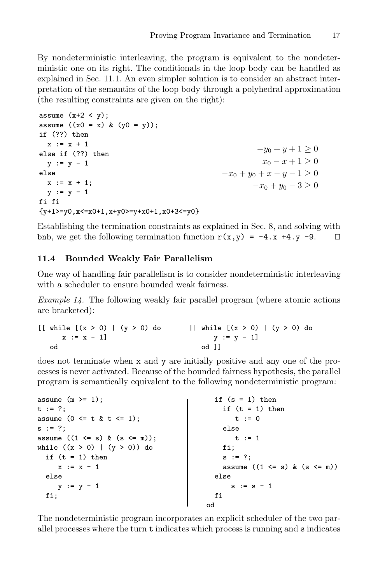By nondeterministic interleaving, the program is equivalent to the nondeterministic one on its right. The conditionals in the loop body can be handled as explained in Sec. 11.1. An even simpler solution is to consider an abstract interpretation of the semantics of the loop body through a polyhedral approximation (the resulting constraints are given on the right):

```
assume (x+2 < y);
assume ((x0 = x) & (y0 = y));if (??) then
  x := x + 1else if (??) then
  y := y - 1else
  x := x + 1;
 y := y - 1fi fi
{y+1>=y0,x<=x0+1,x+y0>=y+x0+1,x0+3<=y0}
                                                         -y_0 + y + 1 \geq 0x_0 - x + 1 \geq 0-x_0 + y_0 + x - y - 1 \geq 0-x_0 + y_0 - 3 \geq 0
```
Establishing the termination constraints as explained in Sec. 8, and solving with bnb, we get the following termination function  $r(x,y) = -4 \cdot x +4 \cdot y -9$ .  $\Box$ 

### **11.4 Bounded Weakly Fair Parallelism**

One way of handling fair parallelism is to consider nondeterministic interleaving with a scheduler to ensure bounded weak fairness.

*Example 14.* The following weakly fair parallel program (where atomic actions are bracketed):

```
[[ while [(x > 0) | (y > 0) do
     x := x - 1od
                                    || while [(x > 0) | (y > 0) do
                                          y := y - 1od 11
```
does not terminate when x and y are initially positive and any one of the processes is never activated. Because of the bounded fairness hypothesis, the parallel program is semantically equivalent to the following nondeterministic program:

```
assume (m \geq 1);
t := ?;assume (0 \le t \le t \le 1);
s := ?;assume ((1 \le s) \& (s \le m));while ((x > 0) | (y > 0)) do
  if (t = 1) then
     x := x - 1else
     y := y - 1fi;
                                             if (s = 1) then
                                               if (t = 1) then
                                                  t := 0else
                                                  t := 1fi;
                                               s := ?;assume ((1 \le s) \& (s \le m))else
                                                 s := s - 1fi
                                           od
```
The nondeterministic program incorporates an explicit scheduler of the two parallel processes where the turn t indicates which process is running and s indicates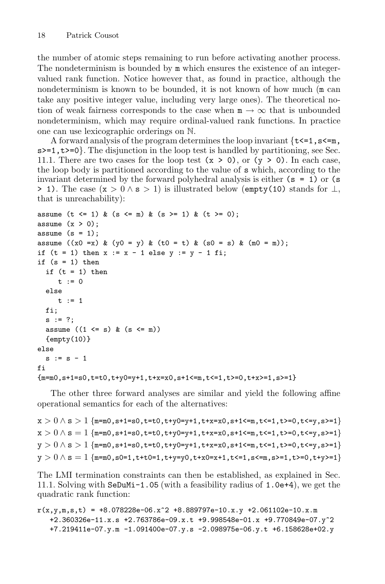the number of atomic steps remaining to run before activating another process. The nondeterminism is bounded by m which ensures the existence of an integervalued rank function. Notice however that, as found in practice, although the nondeterminism is known to be bounded, it is not known of how much (m can take any positive integer value, including very large ones). The theoretical notion of weak fairness corresponds to the case when  $m \to \infty$  that is unbounded nondeterminism, which may require ordinal-valued rank functions. In practice one can use lexicographic orderings on N.

A forward analysis of the program determines the loop invariant  $\{t \leq 1, s \leq m,$  $s>=1, t>=0$ . The disjunction in the loop test is handled by partitioning, see Sec. 11.1. There are two cases for the loop test  $(x > 0)$ , or  $(y > 0)$ . In each case, the loop body is partitioned according to the value of s which, according to the invariant determined by the forward polyhedral analysis is either  $(s = 1)$  or  $(s = 1)$ > 1). The case  $(x > 0 \land s > 1)$  is illustrated below (empty(10) stands for  $\bot$ , that is unreachability):

```
assume (t \leq 1) & (s \leq m) & (s \geq 1) & (t \geq 0);
assume (x > 0);
assume (s = 1);
assume ((x0 = x) & (y0 = y) & (t0 = t) & (s0 = s) & (m0 = m));if (t = 1) then x := x - 1 else y := y - 1 fi;
if (s = 1) then
  if (t = 1) then
    t := 0else
    t := 1fi;
  s := ?;assume ((1 \le s) \& (s \le m)){empty(10)}else
 s := s - 1fi
{m=m0,s+1=s0,t=t0,t+y0=y+1,t+x=x0,s+1<=m,t<=1,t>=0,t+x>=1,s>=1}
```
The other three forward analyses are similar and yield the following affine operational semantics for each of the alternatives:

```
x > 0 \land s > 1 {m=m0,s+1=s0,t=t0,t+y0=y+1,t+x=x0,s+1<=m,t<=1,t>=0,t<=y,s>=1}
x > 0 \land s = 1 {m=m0, s+1=s0, t+t0, t+v0=y+1, t+x=x0, s+1<=m, t<=1, t>=0, t<=y, s>=1}
y > 0 \land s > 1 {m=m0,s+1=s0,t=t0,t+y0=y+1,t+x=x0,s+1<=m,t<=1,t>=0,t<=y,s>=1}
y > 0 \land s = 1 {m=m0,s0=1,t+t0=1,t+y=y0,t+x0=x+1,t<=1,s<=m,s>=1,t>=0,t+y>=1}
```
The LMI termination constraints can then be established, as explained in Sec. 11.1. Solving with SeDuMi-1.05 (with a feasibility radius of 1.0e+4), we get the quadratic rank function:

```
r(x,y,m,s,t) = +8.078228e-06.x^2 +8.889797e-10.x.y +2.061102e-10.x.m+2.360326e-11.x.s +2.763786e-09.x.t +9.998548e-01.x +9.770849e-07.y^2
   +7.219411e-07.y.m -1.091400e-07.y.s -2.098975e-06.y.t +6.158628e+02.y
```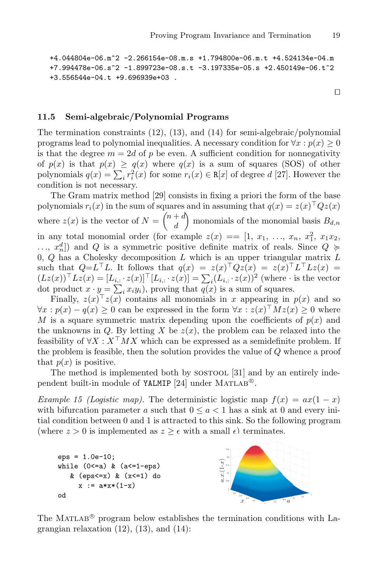```
+4.044804e-06.m^2 -2.266154e-08.m.s +1.794800e-06.m.t +4.524134e-04.m
+7.994478e-06.s^2 -1.899723e-08.s.t -3.197335e-05.s +2.450149e-06.t^2
+3.556544e-04.t +9.696939e+03 .
```
 $\Box$ 

#### **11.5 Semi-algebraic/Polynomial Programs**

The termination constraints  $(12)$ ,  $(13)$ , and  $(14)$  for semi-algebraic/polynomial programs lead to polynomial inequalities. A necessary condition for  $\forall x : p(x) \geq 0$ is that the degree  $m = 2d$  of p be even. A sufficient condition for nonnegativity of  $p(x)$  is that  $p(x) \ge q(x)$  where  $q(x)$  is a sum of squares (SOS) of other polynomials  $q(x) = \sum_i r_i^2(x)$  for some  $r_i(x) \in \mathbb{R}[x]$  of degree d [27]. However the condition is not necessary.

The Gram matrix method [29] consists in fixing a priori the form of the base polynomials  $r_i(x)$  in the sum of squares and in assuming that  $q(x) = z(x)^\top Q z(x)$ where  $z(x)$  is the vector of  $N = \begin{pmatrix} n+d \\ d \end{pmatrix}$ d  $\binom{m}{k}$  monomials of the monomial basis  $B_{d,n}$ in any total monomial order (for example  $z(x) == [1, x_1, ..., x_n, x_1^2, x_1x_2,$  $\dots, x_n^d$ ) and Q is a symmetric positive definite matrix of reals. Since  $Q \geq$ 0,  $Q$  has a Cholesky decomposition  $L$  which is an upper triangular matrix  $L$ such that  $Q=L^{\top}L$ . It follows that  $q(x) = z(x)^{\top}Qz(x) = z(x)^{\top}L^{\top}Lz(x)$  $(Lz(x))$ <sup>T</sup> $Lz(x) = [L_{i,:} \cdot z(x)]$ <sup>T</sup> $[L_{i,:} \cdot z(x)] = \sum_{i} (L_{i,:} \cdot z(x))^{2}$  (where  $\cdot$  is the vector dot product  $x \cdot y = \sum_i x_i y_i$ , proving that  $\overline{q(x)}$  is a sum of squares.

Finally,  $z(x)^\top z(\overline{x})$  contains all monomials in x appearing in  $p(x)$  and so  $\forall x : p(x) - q(x) \ge 0$  can be expressed in the form  $\forall x : z(x)^\top M z(x) \ge 0$  where M is a square symmetric matrix depending upon the coefficients of  $p(x)$  and the unknowns in Q. By letting X be  $z(x)$ , the problem can be relaxed into the feasibility of  $\forall X : X^{\top}MX$  which can be expressed as a semidefinite problem. If the problem is feasible, then the solution provides the value of Q whence a proof that  $p(x)$  is positive.

The method is implemented both by sostrool [31] and by an entirely independent built-in module of YALMIP [24] under MATLAB<sup>®</sup>.

*Example 15 (Logistic map).* The deterministic logistic map  $f(x) = ax(1-x)$ with bifurcation parameter a such that  $0 \leq a < 1$  has a sink at 0 and every initial condition between 0 and 1 is attracted to this sink. So the following program (where  $z > 0$  is implemented as  $z \geq \epsilon$  with a small  $\epsilon$ ) terminates.





The MATLAB<sup>®</sup> program below establishes the termination conditions with Lagrangian relaxation  $(12)$ ,  $(13)$ , and  $(14)$ :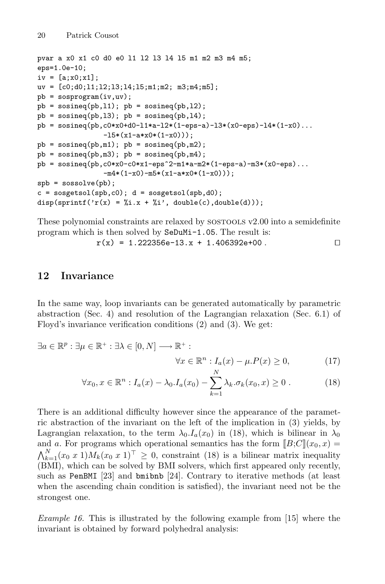```
pvar a x0 x1 c0 d0 e0 l1 l2 l3 l4 l5 m1 m2 m3 m4 m5;
eps=1.0e-10;
iv = [a; x0; x1];uv = [c0; d0; 11; 12; 13; 14; 15; m1; m2; m3; m4; m5];pb = sosprogram(iv,uv);
pb = \text{ssineq}(pb,11); pb = \text{ssineq}(pb,12);pb = sosineq(pb,13); pb = sosineq(pb,14);
pb = \text{sosineq}(pb, c0*x0+d0-11*a-12*(1-eps-a)-13*(x0-eps)-14*(1-x0)...-15*(x1-a*x0*(1-x0)));
pb = \text{ssineq}(pb,ml); pb = \text{ssineq}(pb,ml);pb = \text{ssineq}(pb,m3); pb = \text{ssineq}(pb,m4);pb = \text{ssineq}(pb, c0*x0-c0*x1-eps^2-m1*a-m2*(1-eps-a)-m3*(x0-eps)...-m4*(1-x0)-m5*(x1-a*x0*(1-x0)));
spb = sossolve(pb);c = sosgetsol(spb,c0); d = sosgetsol(spb,d0);
disp(sprintf('r(x) = %i.x + %i', double(c),double(d)));
```
These polynomial constraints are relaxed by sostools v2.00 into a semidefinite program which is then solved by SeDuMi-1.05. The result is:

$$
r(x) = 1.222356e-13.x + 1.406392e+00.
$$

### **12 Invariance**

In the same way, loop invariants can be generated automatically by parametric abstraction (Sec. 4) and resolution of the Lagrangian relaxation (Sec. 6.1) of Floyd's invariance verification conditions (2) and (3). We get:

$$
\exists a \in \mathbb{R}^p : \exists \mu \in \mathbb{R}^+ : \exists \lambda \in [0, N] \longrightarrow \mathbb{R}^+ : \forall x \in \mathbb{R}^n : I_a(x) - \mu P(x) \ge 0,
$$
\n(17)

$$
\forall x_0, x \in \mathbb{R}^n : I_a(x) - \lambda_0 I_a(x_0) - \sum_{k=1}^N \lambda_k . \sigma_k(x_0, x) \ge 0.
$$
 (18)

There is an additional difficulty however since the appearance of the parametric abstraction of the invariant on the left of the implication in (3) yields, by Lagrangian relaxation, to the term  $\lambda_0.I_a(x_0)$  in (18), which is bilinear in  $\lambda_0$ and a. For programs which operational semantics has the form  $[[B;C]](x_0, x) =$  $\bigwedge_{k=1}^{N}(x_0\ x\ 1)M_k(x_0\ x\ 1)^{\top} \geq 0$ , constraint (18) is a bilinear matrix inequality (BMI), which can be solved by BMI solvers, which first appeared only recently, such as PenBMI [23] and bmibnb [24]. Contrary to iterative methods (at least when the ascending chain condition is satisfied), the invariant need not be the strongest one.

*Example 16.* This is illustrated by the following example from [15] where the invariant is obtained by forward polyhedral analysis: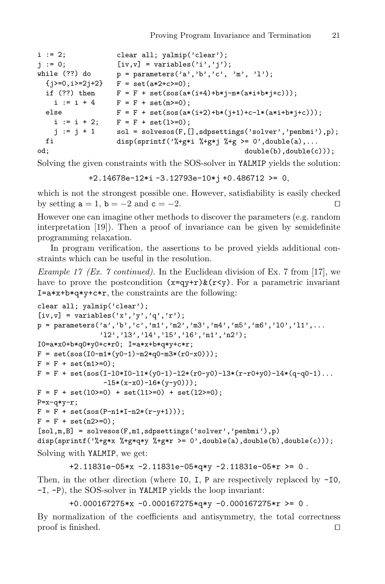| $sol = solvesos(F, []$ , sdpsettings('solver', 'penbmi'), p); |
|---------------------------------------------------------------|
|                                                               |
| $double(b), double(c))$ ;                                     |
|                                                               |

Solving the given constraints with the SOS-solver in YALMIP yields the solution:

$$
+2.14678e-12*i-3.12793e-10*j+0.486712 >= 0,
$$

which is not the strongest possible one. However, satisfiability is easily checked by setting  $a = 1$ ,  $b = -2$  and  $c = -2$ .

However one can imagine other methods to discover the parameters (e.g. random interpretation [19]). Then a proof of invariance can be given by semidefinite programming relaxation.

In program verification, the assertions to be proved yields additional constraints which can be useful in the resolution.

*Example 17 (Ex. 7 continued).* In the Euclidean division of Ex. 7 from [17], we have to prove the postcondition  $(x=qy+r)$   $(x \le y)$ . For a parametric invariant I=a\*x+b\*q\*y+c\*r, the constraints are the following:

```
clear all; yalmip('clear');
[iv,v] = variables('x','y','q','r');
p = parameters('a', 'b', 'c', 'm1', 'm2', 'm3', 'm4', 'm5', 'm6', '10', '11', ...'l2','l3','l4','l5','l6','n1','n2');
I0=a*x0+b*q0*y0+c*r0; I=a*x+b*q*y+c*r;
F = set(sos(10-m1*(y0-1)-m2*q0-m3*(r0-x0)));
F = F + set(m1>=0);F = F + set(cos(F-10*10-11*(y0-1)-12*(r0-y0)-13*(r-r0+y0)-14*(q-q0-1)...-15*(x-x0)-16*(y-y0));
F = F + set(10)=0) + set(11)=0) + set(12)=0;
P=x-q*y-r;F = F + set(sos(P-n1*I-n2*(r-y+1)));
F = F + set(n2>=0);[sol,m,B] = solvesos(F,m1,sdpsettings('solver', 'penbmi'),p)disp(sprintf('%+g*x %+g*q*y %+g*r >= 0',double(a),double(b),double(c)));
Solving with YALMIP, we get:
```

```
+2.11831e-05*x -2.11831e-05*q*y -2.11831e-05*r >= 0 .
```
Then, in the other direction (where I0, I, P are respectively replaced by -I0, -I, -P), the SOS-solver in YALMIP yields the loop invariant:

```
+0.000167275*x -0.000167275*q*y -0.000167275*r >= 0 .
```
By normalization of the coefficients and antisymmetry, the total correctness proof is finished.  $\Box$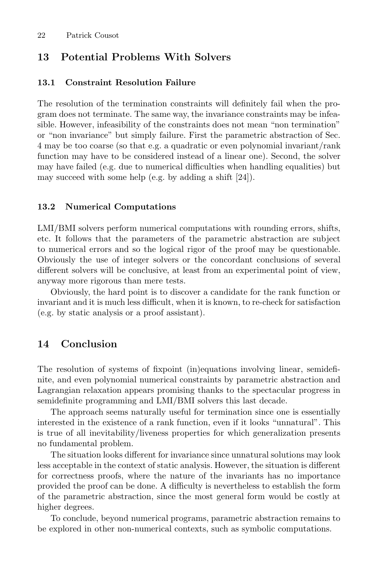### **13 Potential Problems With Solvers**

#### **13.1 Constraint Resolution Failure**

The resolution of the termination constraints will definitely fail when the program does not terminate. The same way, the invariance constraints may be infeasible. However, infeasibility of the constraints does not mean "non termination" or "non invariance" but simply failure. First the parametric abstraction of Sec. 4 may be too coarse (so that e.g. a quadratic or even polynomial invariant/rank function may have to be considered instead of a linear one). Second, the solver may have failed (e.g. due to numerical difficulties when handling equalities) but may succeed with some help (e.g. by adding a shift [24]).

#### **13.2 Numerical Computations**

LMI/BMI solvers perform numerical computations with rounding errors, shifts, etc. It follows that the parameters of the parametric abstraction are subject to numerical errors and so the logical rigor of the proof may be questionable. Obviously the use of integer solvers or the concordant conclusions of several different solvers will be conclusive, at least from an experimental point of view, anyway more rigorous than mere tests.

Obviously, the hard point is to discover a candidate for the rank function or invariant and it is much less difficult, when it is known, to re-check for satisfaction (e.g. by static analysis or a proof assistant).

### **14 Conclusion**

The resolution of systems of fixpoint (in)equations involving linear, semidefinite, and even polynomial numerical constraints by parametric abstraction and Lagrangian relaxation appears promising thanks to the spectacular progress in semidefinite programming and LMI/BMI solvers this last decade.

The approach seems naturally useful for termination since one is essentially interested in the existence of a rank function, even if it looks "unnatural". This is true of all inevitability/liveness properties for which generalization presents no fundamental problem.

The situation looks different for invariance since unnatural solutions may look less acceptable in the context of static analysis. However, the situation is different for correctness proofs, where the nature of the invariants has no importance provided the proof can be done. A difficulty is nevertheless to establish the form of the parametric abstraction, since the most general form would be costly at higher degrees.

To conclude, beyond numerical programs, parametric abstraction remains to be explored in other non-numerical contexts, such as symbolic computations.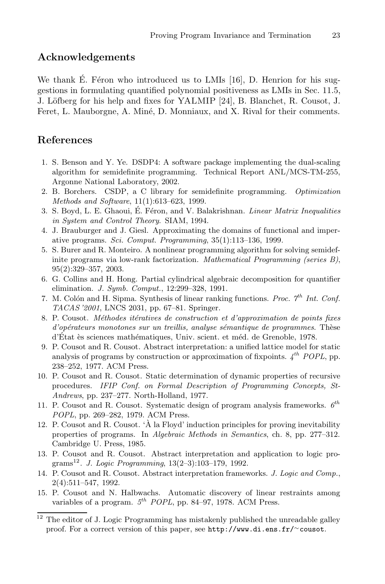#### **Acknowledgements**

We thank  $\hat{E}$ . Féron who introduced us to LMIs [16], D. Henrion for his suggestions in formulating quantified polynomial positiveness as LMIs in Sec. 11.5, J. Löfberg for his help and fixes for YALMIP [24], B. Blanchet, R. Cousot, J. Feret, L. Mauborgne, A. Miné, D. Monniaux, and X. Rival for their comments.

### **References**

- 1. S. Benson and Y. Ye. DSDP4: A software package implementing the dual-scaling algorithm for semidefinite programming. Technical Report ANL/MCS-TM-255, Argonne National Laboratory, 2002.
- 2. B. Borchers. CSDP, a C library for semidefinite programming. *Optimization Methods and Software*, 11(1):613–623, 1999.
- 3. S. Boyd, L. E. Ghaoui, É. Féron, and V. Balakrishnan. *Linear Matrix Inequalities in System and Control Theory*. SIAM, 1994.
- 4. J. Brauburger and J. Giesl. Approximating the domains of functional and imperative programs. *Sci. Comput. Programming*, 35(1):113–136, 1999.
- 5. S. Burer and R. Monteiro. A nonlinear programming algorithm for solving semidefinite programs via low-rank factorization. *Mathematical Programming (series B)*, 95(2):329–357, 2003.
- 6. G. Collins and H. Hong. Partial cylindrical algebraic decomposition for quantifier elimination. *J. Symb. Comput.*, 12:299–328, 1991.
- 7. M. Colón and H. Sipma. Synthesis of linear ranking functions. *Proc.*  $7^{th}$  *Int. Conf. TACAS '2001*, LNCS 2031, pp. 67–81. Springer.
- 8. P. Cousot. *M´ethodes it´eratives de construction et d'approximation de points fixes d'opérateurs monotones sur un treillis, analyse sémantique de programmes.* Thèse d'Etat ès sciences mathématiques, Univ. scient. et méd. de Grenoble, 1978.
- 9. P. Cousot and R. Cousot. Abstract interpretation: a unified lattice model for static analysis of programs by construction or approximation of fixpoints. *4th POPL*, pp. 238–252, 1977. ACM Press.
- 10. P. Cousot and R. Cousot. Static determination of dynamic properties of recursive procedures. *IFIP Conf. on Formal Description of Programming Concepts, St-Andrews*, pp. 237–277. North-Holland, 1977.
- 11. P. Cousot and R. Cousot. Systematic design of program analysis frameworks. *6th POPL*, pp. 269–282, 1979. ACM Press.
- 12. P. Cousot and R. Cousot.  $\hat{A}$  la Floyd' induction principles for proving inevitability properties of programs. In *Algebraic Methods in Semantics*, ch. 8, pp. 277–312. Cambridge U. Press, 1985.
- 13. P. Cousot and R. Cousot. Abstract interpretation and application to logic programs<sup>12</sup>. *J. Logic Programming*, 13(2–3):103–179, 1992.
- 14. P. Cousot and R. Cousot. Abstract interpretation frameworks. *J. Logic and Comp.*, 2(4):511–547, 1992.
- 15. P. Cousot and N. Halbwachs. Automatic discovery of linear restraints among variables of a program. *5th POPL*, pp. 84–97, 1978. ACM Press.

 $12$  The editor of J. Logic Programming has mistakenly published the unreadable galley proof. For a correct version of this paper, see http://www.di.ens.fr/∼cousot.